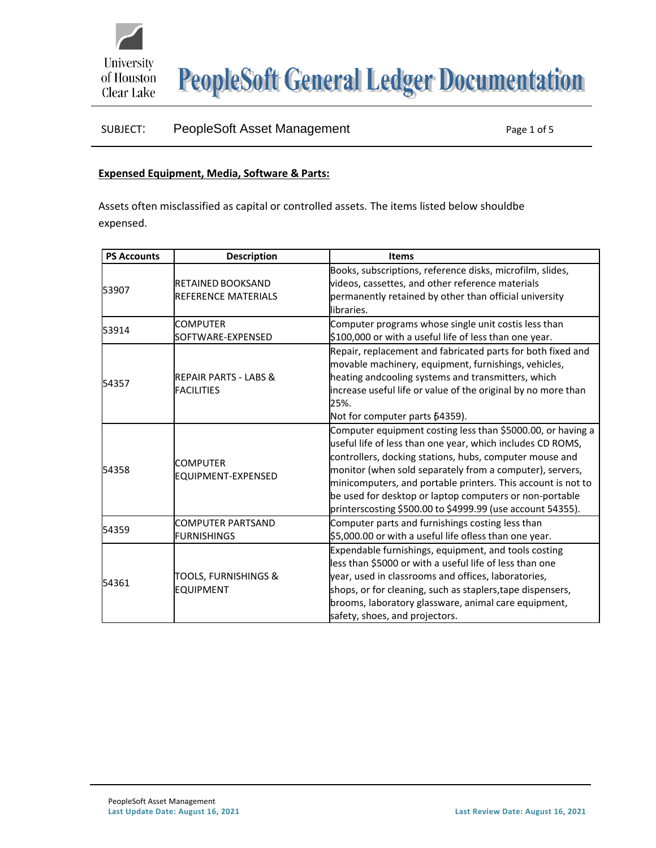

**PeopleSoft General Ledger Documentation** 

## SUBJECT: PeopleSoft Asset Management Page 1 of 5

## **Expensed Equipment, Media, Software & Parts:**

Assets often misclassified as capital or controlled assets. The items listed below shouldbe expensed.

| <b>PS Accounts</b> | <b>Description</b>                    | <b>Items</b>                                                  |
|--------------------|---------------------------------------|---------------------------------------------------------------|
|                    |                                       | Books, subscriptions, reference disks, microfilm, slides,     |
| 53907              | <b>RETAINED BOOKSAND</b>              | videos, cassettes, and other reference materials              |
|                    | <b>REFERENCE MATERIALS</b>            | permanently retained by other than official university        |
|                    |                                       | libraries.                                                    |
| 53914              | <b>COMPUTER</b>                       | Computer programs whose single unit costis less than          |
|                    | SOFTWARE-EXPENSED                     | \$100,000 or with a useful life of less than one year.        |
|                    |                                       | Repair, replacement and fabricated parts for both fixed and   |
|                    |                                       | movable machinery, equipment, furnishings, vehicles,          |
| 54357              | <b>REPAIR PARTS - LABS &amp;</b>      | heating andcooling systems and transmitters, which            |
|                    | <b>FACILITIES</b>                     | increase useful life or value of the original by no more than |
|                    |                                       | 25%.                                                          |
|                    |                                       | Not for computer parts 64359).                                |
|                    | <b>COMPUTER</b><br>EQUIPMENT-EXPENSED | Computer equipment costing less than \$5000.00, or having a   |
|                    |                                       | useful life of less than one year, which includes CD ROMS,    |
|                    |                                       | controllers, docking stations, hubs, computer mouse and       |
| 54358              |                                       | monitor (when sold separately from a computer), servers,      |
|                    |                                       | minicomputers, and portable printers. This account is not to  |
|                    |                                       | be used for desktop or laptop computers or non-portable       |
|                    |                                       | printerscosting \$500.00 to \$4999.99 (use account 54355).    |
| 54359              | <b>COMPUTER PARTSAND</b>              | Computer parts and furnishings costing less than              |
|                    | <b>FURNISHINGS</b>                    | \$5,000.00 or with a useful life ofless than one year.        |
| 54361              |                                       | Expendable furnishings, equipment, and tools costing          |
|                    |                                       | less than \$5000 or with a useful life of less than one       |
|                    | <b>TOOLS, FURNISHINGS &amp;</b>       | year, used in classrooms and offices, laboratories,           |
|                    | <b>EQUIPMENT</b>                      | shops, or for cleaning, such as staplers, tape dispensers,    |
|                    |                                       | brooms, laboratory glassware, animal care equipment,          |
|                    |                                       | safety, shoes, and projectors.                                |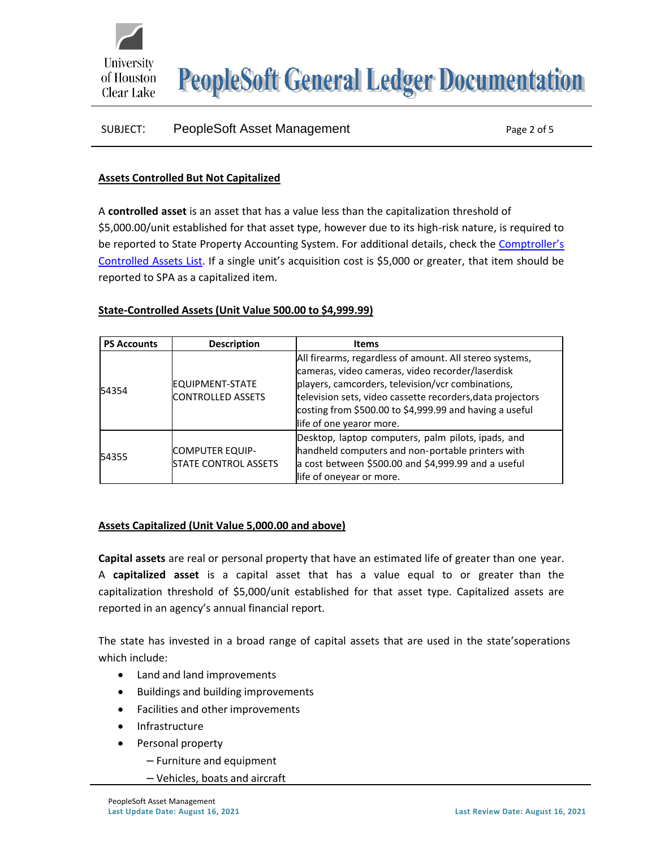

**PeopleSoft General Ledger Documentation** 

# SUBJECT: PeopleSoft Asset Management **Page 2 of 5** Page 2 of 5

## **Assets Controlled But Not Capitalized**

A **controlled asset** is an asset that has a value less than the capitalization threshold of \$5,000.00/unit established for that asset type, however due to its high-risk nature, is required to be reported to State Property Accounting System. For additional details, check the [Comptroller's](https://fmx.cpa.texas.gov/fmx/pubs/spaproc/appendices/appa/appa_6.php) [Controlled](https://fmx.cpa.texas.gov/fmx/pubs/spaproc/appendices/appa/appa_6.php) Assets List. If a single unit's acquisition cost is \$5,000 or greater, that item should be reported to SPA as a capitalized item.

## **State-Controlled Assets (Unit Value 500.00 to \$4,999.99)**

| <b>PS Accounts</b> | <b>Description</b>                                    | <b>Items</b>                                                                                                                                                                                                                                                                                                          |
|--------------------|-------------------------------------------------------|-----------------------------------------------------------------------------------------------------------------------------------------------------------------------------------------------------------------------------------------------------------------------------------------------------------------------|
| 54354              | EQUIPMENT-STATE<br><b>CONTROLLED ASSETS</b>           | All firearms, regardless of amount. All stereo systems,<br>cameras, video cameras, video recorder/laserdisk<br>players, camcorders, television/vcr combinations,<br>television sets, video cassette recorders, data projectors<br>costing from \$500.00 to \$4,999.99 and having a useful<br>life of one yearor more. |
| 54355              | <b>COMPUTER EQUIP-</b><br><b>STATE CONTROL ASSETS</b> | Desktop, laptop computers, palm pilots, ipads, and<br>handheld computers and non-portable printers with<br>a cost between \$500.00 and \$4,999.99 and a useful<br>life of oneyear or more.                                                                                                                            |

## **Assets Capitalized (Unit Value 5,000.00 and above)**

**Capital assets** are real or personal property that have an estimated life of greater than one year. A **capitalized asset** is a capital asset that has a value equal to or greater than the capitalization threshold of \$5,000/unit established for that asset type. Capitalized assets are reported in an agency's annual financial report.

The state has invested in a broad range of capital assets that are used in the state'soperations which include:

- Land and land improvements
- Buildings and building improvements
- Facilities and other improvements
- **Infrastructure**
- Personal property
	- Furniture and equipment
	- Vehicles, boats and aircraft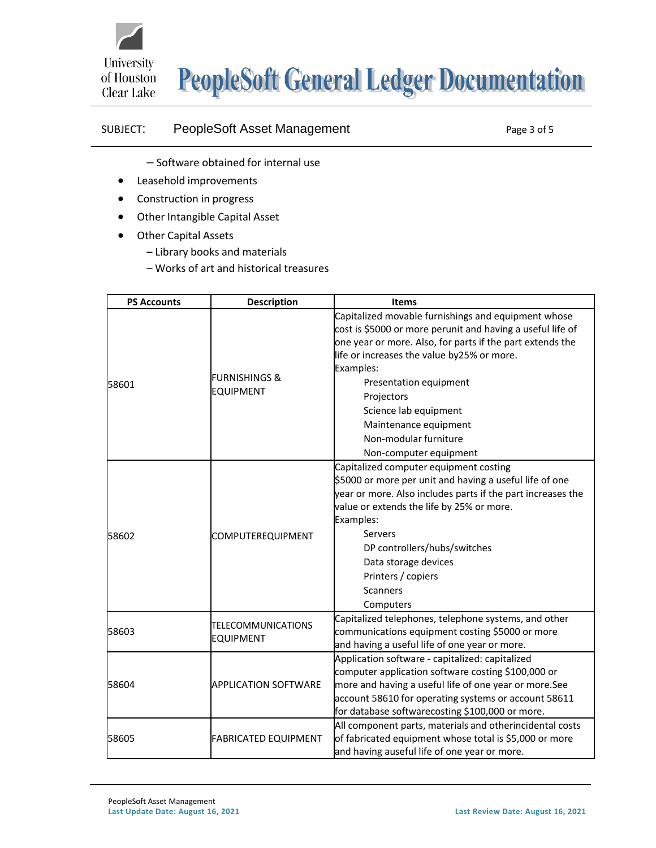

## SUBJECT: PeopleSoft Asset Management Page 3 of 5

- Software obtained for internal use
- Leasehold improvements
- Construction in progress
- Other Intangible Capital Asset
- Other Capital Assets
	- Library books and materials
	- Works of art and historical treasures

| <b>PS Accounts</b> | <b>Description</b>                           | <b>Items</b>                                                                                                                                                                                                                                                                                                                                                                           |
|--------------------|----------------------------------------------|----------------------------------------------------------------------------------------------------------------------------------------------------------------------------------------------------------------------------------------------------------------------------------------------------------------------------------------------------------------------------------------|
| 58601              | <b>FURNISHINGS &amp;</b><br><b>EQUIPMENT</b> | Capitalized movable furnishings and equipment whose<br>cost is \$5000 or more perunit and having a useful life of<br>one year or more. Also, for parts if the part extends the<br>life or increases the value by25% or more.<br>Examples:<br>Presentation equipment<br>Projectors<br>Science lab equipment<br>Maintenance equipment<br>Non-modular furniture<br>Non-computer equipment |
| 58602              | COMPUTEREQUIPMENT                            | Capitalized computer equipment costing<br>\$5000 or more per unit and having a useful life of one<br>year or more. Also includes parts if the part increases the<br>value or extends the life by 25% or more.<br>Examples:<br>Servers<br>DP controllers/hubs/switches<br>Data storage devices<br>Printers / copiers<br><b>Scanners</b><br>Computers                                    |
| 58603              | TELECOMMUNICATIONS<br><b>EQUIPMENT</b>       | Capitalized telephones, telephone systems, and other<br>communications equipment costing \$5000 or more<br>and having a useful life of one year or more.                                                                                                                                                                                                                               |
| 58604              | <b>APPLICATION SOFTWARE</b>                  | Application software - capitalized: capitalized<br>computer application software costing \$100,000 or<br>more and having a useful life of one year or more.See<br>account 58610 for operating systems or account 58611<br>for database softwarecosting \$100,000 or more.                                                                                                              |
| 58605              | <b>FABRICATED EQUIPMENT</b>                  | All component parts, materials and otherincidental costs<br>of fabricated equipment whose total is \$5,000 or more<br>and having auseful life of one year or more.                                                                                                                                                                                                                     |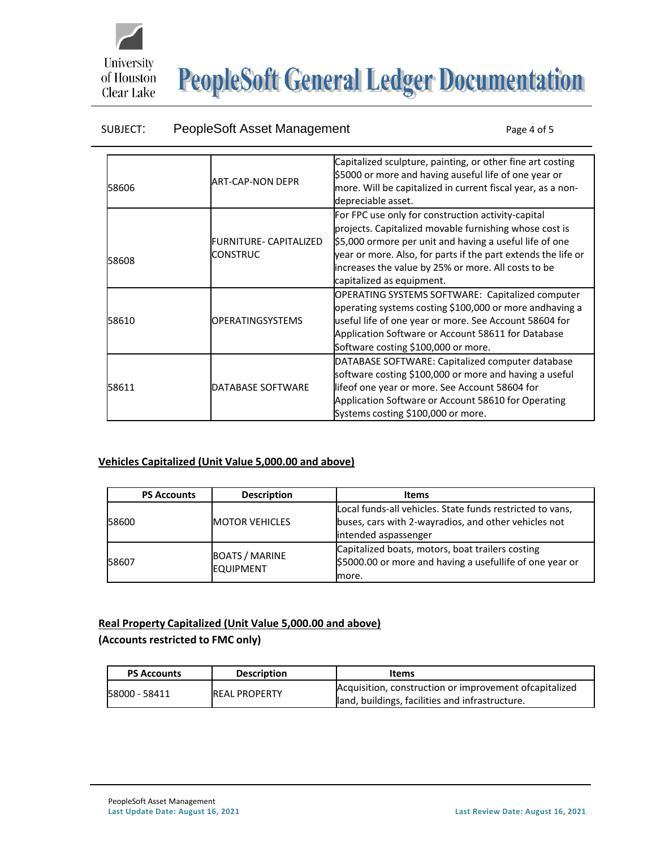

# **PeopleSoft General Ledger Documentation**

## SUBJECT: PeopleSoft Asset Management Page 4 of 5

|       |                         | Capitalized sculpture, painting, or other fine art costing<br>\$5000 or more and having auseful life of one year or |
|-------|-------------------------|---------------------------------------------------------------------------------------------------------------------|
| 58606 | <b>ART-CAP-NON DEPR</b> | more. Will be capitalized in current fiscal year, as a non-                                                         |
|       |                         | depreciable asset.                                                                                                  |
|       |                         | For FPC use only for construction activity-capital                                                                  |
|       |                         | projects. Capitalized movable furnishing whose cost is                                                              |
|       | FURNITURE- CAPITALIZED  | \$5,000 ormore per unit and having a useful life of one                                                             |
|       | CONSTRUC                | year or more. Also, for parts if the part extends the life or                                                       |
| 58608 |                         | increases the value by 25% or more. All costs to be                                                                 |
|       |                         | capitalized as equipment.                                                                                           |
|       |                         | OPERATING SYSTEMS SOFTWARE: Capitalized computer                                                                    |
|       |                         | operating systems costing \$100,000 or more andhaving a                                                             |
| 58610 | OPERATINGSYSTEMS        | useful life of one year or more. See Account 58604 for                                                              |
|       |                         | Application Software or Account 58611 for Database                                                                  |
|       |                         | Software costing \$100,000 or more.                                                                                 |
|       |                         | DATABASE SOFTWARE: Capitalized computer database                                                                    |
|       |                         | software costing \$100,000 or more and having a useful                                                              |
| 58611 | DATABASE SOFTWARE       | lifeof one year or more. See Account 58604 for                                                                      |
|       |                         | Application Software or Account 58610 for Operating                                                                 |
|       |                         | Systems costing \$100,000 or more.                                                                                  |

## **Vehicles Capitalized (Unit Value 5,000.00 and above)**

| <b>PS Accounts</b> | <b>Description</b>                        | <b>Items</b>                                                                                                          |
|--------------------|-------------------------------------------|-----------------------------------------------------------------------------------------------------------------------|
| 58600              | <b>MOTOR VEHICLES</b>                     | Local funds-all vehicles. State funds restricted to vans,<br>buses, cars with 2-wayradios, and other vehicles not     |
|                    |                                           | intended aspassenger                                                                                                  |
| 58607              | <b>BOATS / MARINE</b><br><b>EQUIPMENT</b> | Capitalized boats, motors, boat trailers costing<br>\$5000.00 or more and having a usefullife of one year or<br>more. |

## **Real Property Capitalized (Unit Value 5,000.00 and above)**

## **(Accounts restricted to FMC only)**

| <b>PS Accounts</b> | <b>Description</b>   | Items                                                                                                      |
|--------------------|----------------------|------------------------------------------------------------------------------------------------------------|
| 58000 - 58411      | <b>REAL PROPERTY</b> | Acquisition, construction or improvement of capitalized<br>land, buildings, facilities and infrastructure. |